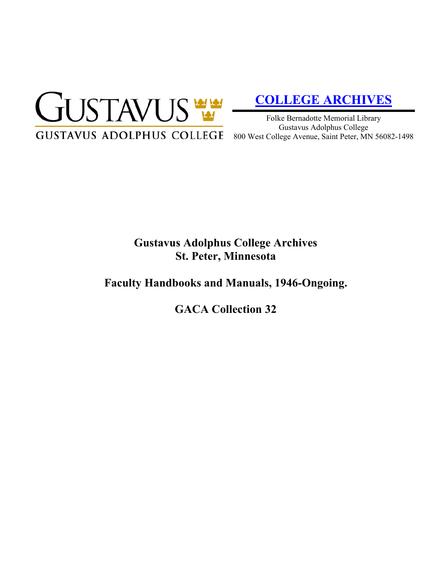

# **[COLLEGE ARCHIVES](http://gustavus.edu/academics/library/archives/)**

Folke Bernadotte Memorial Library Gustavus Adolphus College 800 West College Avenue, Saint Peter, MN 56082-1498

## **Gustavus Adolphus College Archives St. Peter, Minnesota**

### **Faculty Handbooks and Manuals, 1946-Ongoing.**

**GACA Collection 32**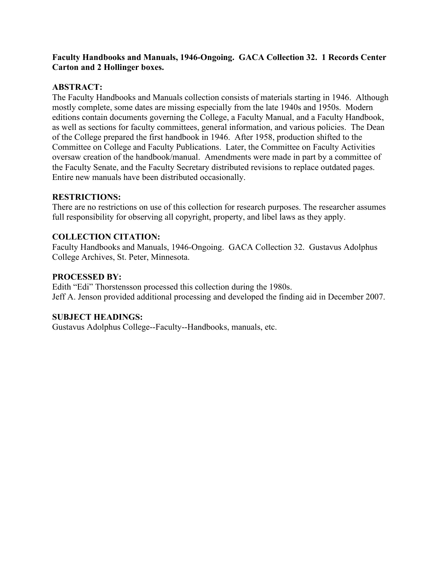### **Faculty Handbooks and Manuals, 1946-Ongoing. GACA Collection 32. 1 Records Center Carton and 2 Hollinger boxes.**

#### **ABSTRACT:**

The Faculty Handbooks and Manuals collection consists of materials starting in 1946. Although mostly complete, some dates are missing especially from the late 1940s and 1950s. Modern editions contain documents governing the College, a Faculty Manual, and a Faculty Handbook, as well as sections for faculty committees, general information, and various policies. The Dean of the College prepared the first handbook in 1946. After 1958, production shifted to the Committee on College and Faculty Publications. Later, the Committee on Faculty Activities oversaw creation of the handbook/manual. Amendments were made in part by a committee of the Faculty Senate, and the Faculty Secretary distributed revisions to replace outdated pages. Entire new manuals have been distributed occasionally.

#### **RESTRICTIONS:**

There are no restrictions on use of this collection for research purposes. The researcher assumes full responsibility for observing all copyright, property, and libel laws as they apply.

#### **COLLECTION CITATION:**

Faculty Handbooks and Manuals, 1946-Ongoing. GACA Collection 32. Gustavus Adolphus College Archives, St. Peter, Minnesota.

#### **PROCESSED BY:**

Edith "Edi" Thorstensson processed this collection during the 1980s. Jeff A. Jenson provided additional processing and developed the finding aid in December 2007.

#### **SUBJECT HEADINGS:**

Gustavus Adolphus College--Faculty--Handbooks, manuals, etc.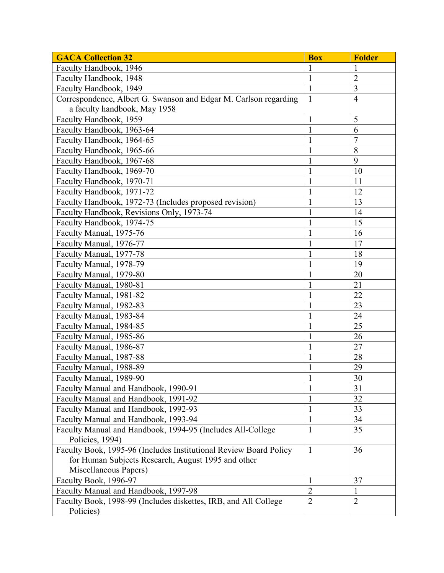| <b>GACA Collection 32</b>                                         | <b>Box</b>     | <b>Folder</b>  |
|-------------------------------------------------------------------|----------------|----------------|
| Faculty Handbook, 1946                                            | 1              | 1              |
| Faculty Handbook, 1948                                            | $\mathbf 1$    | $\overline{2}$ |
| Faculty Handbook, 1949                                            | $\mathbf{1}$   | 3              |
| Correspondence, Albert G. Swanson and Edgar M. Carlson regarding  | $\mathbf{1}$   | $\overline{4}$ |
| a faculty handbook, May 1958                                      |                |                |
| Faculty Handbook, 1959                                            | $\mathbf{1}$   | 5              |
| Faculty Handbook, 1963-64                                         |                | 6              |
| Faculty Handbook, 1964-65                                         | 1              | 7              |
| Faculty Handbook, 1965-66                                         | 1              | 8              |
| Faculty Handbook, 1967-68                                         | 1              | 9              |
| Faculty Handbook, 1969-70                                         | 1              | 10             |
| Faculty Handbook, 1970-71                                         | $\mathbf{1}$   | 11             |
| Faculty Handbook, 1971-72                                         | 1              | 12             |
| Faculty Handbook, 1972-73 (Includes proposed revision)            | $\mathbf{1}$   | 13             |
| Faculty Handbook, Revisions Only, 1973-74                         | 1              | 14             |
| Faculty Handbook, 1974-75                                         | 1              | 15             |
| Faculty Manual, 1975-76                                           | 1              | 16             |
| Faculty Manual, 1976-77                                           |                | 17             |
| Faculty Manual, 1977-78                                           | $\mathbf{1}$   | 18             |
| Faculty Manual, 1978-79                                           | 1              | 19             |
| Faculty Manual, 1979-80                                           | 1              | 20             |
| Faculty Manual, 1980-81                                           | 1              | 21             |
| Faculty Manual, 1981-82                                           | 1              | 22             |
| Faculty Manual, 1982-83                                           | $\mathbf{1}$   | 23             |
| Faculty Manual, 1983-84                                           | 1              | 24             |
| Faculty Manual, 1984-85                                           | 1              | 25             |
| Faculty Manual, 1985-86                                           | 1              | 26             |
| Faculty Manual, 1986-87                                           | 1              | 27             |
| Faculty Manual, 1987-88                                           | 1              | 28             |
| Faculty Manual, 1988-89                                           | $\mathbf{1}$   | 29             |
| Faculty Manual, 1989-90                                           | $\mathbf{1}$   | 30             |
| Faculty Manual and Handbook, 1990-91                              | 1              | 31             |
| Faculty Manual and Handbook, 1991-92                              | 1              | 32             |
| Faculty Manual and Handbook, 1992-93                              | $\mathbf{1}$   | 33             |
| Faculty Manual and Handbook, 1993-94                              | 1              | 34             |
| Faculty Manual and Handbook, 1994-95 (Includes All-College        | $\mathbf{1}$   | 35             |
| Policies, 1994)                                                   |                |                |
| Faculty Book, 1995-96 (Includes Institutional Review Board Policy | $\mathbf{1}$   | 36             |
| for Human Subjects Research, August 1995 and other                |                |                |
| Miscellaneous Papers)                                             |                |                |
| Faculty Book, 1996-97                                             | $\mathbf{1}$   | 37             |
| Faculty Manual and Handbook, 1997-98                              | $\overline{2}$ | $\mathbf{1}$   |
| Faculty Book, 1998-99 (Includes diskettes, IRB, and All College   | $\overline{2}$ | $\overline{2}$ |
| Policies)                                                         |                |                |